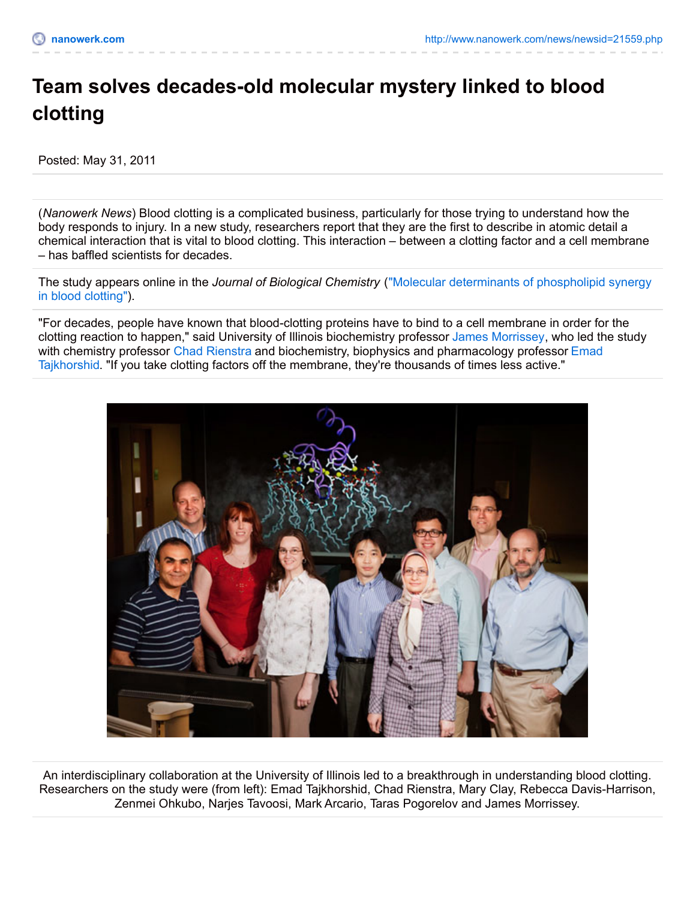## **Team solves decades-old molecular mystery linked to blood clotting**

Posted: May 31, 2011

(*Nanowerk News*) Blood clotting is a complicated business, particularly for those trying to understand how the body responds to injury. In a new study, researchers report that they are the first to describe in atomic detail a chemical interaction that is vital to blood clotting. This interaction – between a clotting factor and a cell membrane – has baffled scientists for decades.

The study appears online in the *Journal of Biological Chemistry* ("Molecular [determinants](http://dx.doi.org/doi:10.1074/jbc.M111.251769) of phospholipid synergy in blood clotting").

"For decades, people have known that blood-clotting proteins have to bind to a cell membrane in order for the clotting reaction to happen," said University of Illinois biochemistry professor James [Morrissey](http://mcb.illinois.edu/faculty/profile/jhmorris), who led the study with chemistry professor Chad [Rienstra](http://www.scs.illinois.edu/rienstra/) and biochemistry, biophysics and [pharmacology](http://www.beckman.illinois.edu/directory/tajkhors) professor Emad Tajkhorshid. "If you take clotting factors off the membrane, they're thousands of times less active."



An interdisciplinary collaboration at the University of Illinois led to a breakthrough in understanding blood clotting. Researchers on the study were (from left): Emad Tajkhorshid, Chad Rienstra, Mary Clay, Rebecca Davis-Harrison, Zenmei Ohkubo, Narjes Tavoosi, Mark Arcario, Taras Pogorelov and James Morrissey.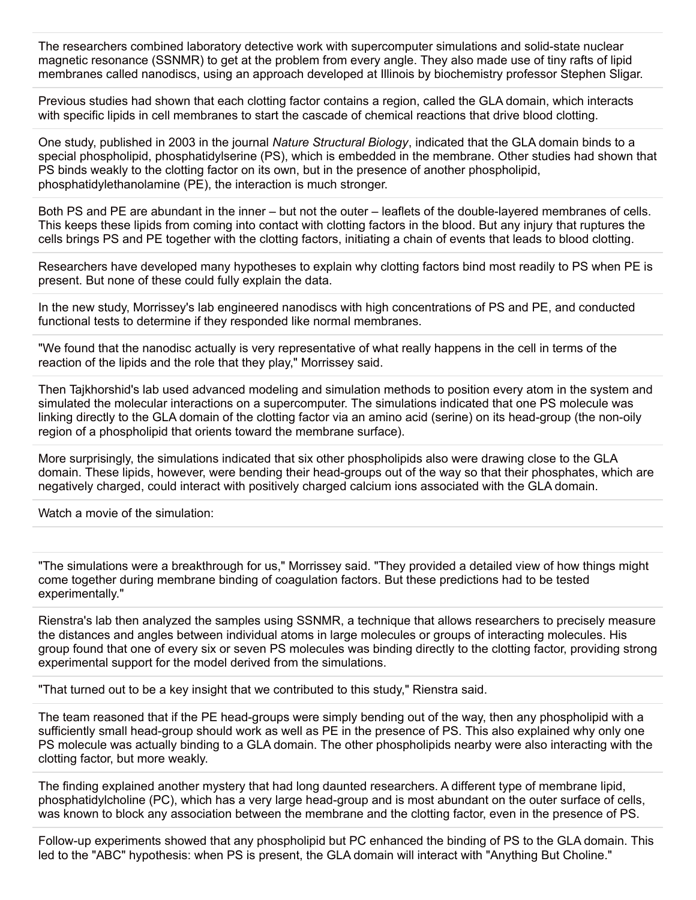The researchers combined laboratory detective work with supercomputer simulations and solid-state nuclear magnetic resonance (SSNMR) to get at the problem from every angle. They also made use of tiny rafts of lipid membranes called nanodiscs, using an approach developed at Illinois by biochemistry professor Stephen Sligar.

Previous studies had shown that each clotting factor contains a region, called the GLA domain, which interacts with specific lipids in cell membranes to start the cascade of chemical reactions that drive blood clotting.

One study, published in 2003 in the journal *Nature Structural Biology*, indicated that the GLA domain binds to a special phospholipid, phosphatidylserine (PS), which is embedded in the membrane. Other studies had shown that PS binds weakly to the clotting factor on its own, but in the presence of another phospholipid, phosphatidylethanolamine (PE), the interaction is much stronger.

Both PS and PE are abundant in the inner – but not the outer – leaflets of the double-layered membranes of cells. This keeps these lipids from coming into contact with clotting factors in the blood. But any injury that ruptures the cells brings PS and PE together with the clotting factors, initiating a chain of events that leads to blood clotting.

Researchers have developed many hypotheses to explain why clotting factors bind most readily to PS when PE is present. But none of these could fully explain the data.

In the new study, Morrissey's lab engineered nanodiscs with high concentrations of PS and PE, and conducted functional tests to determine if they responded like normal membranes.

"We found that the nanodisc actually is very representative of what really happens in the cell in terms of the reaction of the lipids and the role that they play," Morrissey said.

Then Tajkhorshid's lab used advanced modeling and simulation methods to position every atom in the system and simulated the molecular interactions on a supercomputer. The simulations indicated that one PS molecule was linking directly to the GLA domain of the clotting factor via an amino acid (serine) on its head-group (the non-oily region of a phospholipid that orients toward the membrane surface).

More surprisingly, the simulations indicated that six other phospholipids also were drawing close to the GLA domain. These lipids, however, were bending their head-groups out of the way so that their phosphates, which are negatively charged, could interact with positively charged calcium ions associated with the GLA domain.

Watch a movie of the simulation:

"The simulations were a breakthrough for us," Morrissey said. "They provided a detailed view of how things might come together during membrane binding of coagulation factors. But these predictions had to be tested experimentally."

Rienstra's lab then analyzed the samples using SSNMR, a technique that allows researchers to precisely measure the distances and angles between individual atoms in large molecules or groups of interacting molecules. His group found that one of every six or seven PS molecules was binding directly to the clotting factor, providing strong experimental support for the model derived from the simulations.

"That turned out to be a key insight that we contributed to this study," Rienstra said.

The team reasoned that if the PE head-groups were simply bending out of the way, then any phospholipid with a sufficiently small head-group should work as well as PE in the presence of PS. This also explained why only one PS molecule was actually binding to a GLA domain. The other phospholipids nearby were also interacting with the clotting factor, but more weakly.

The finding explained another mystery that had long daunted researchers. A different type of membrane lipid, phosphatidylcholine (PC), which has a very large head-group and is most abundant on the outer surface of cells, was known to block any association between the membrane and the clotting factor, even in the presence of PS.

Follow-up experiments showed that any phospholipid but PC enhanced the binding of PS to the GLA domain. This led to the "ABC" hypothesis: when PS is present, the GLA domain will interact with "Anything But Choline."